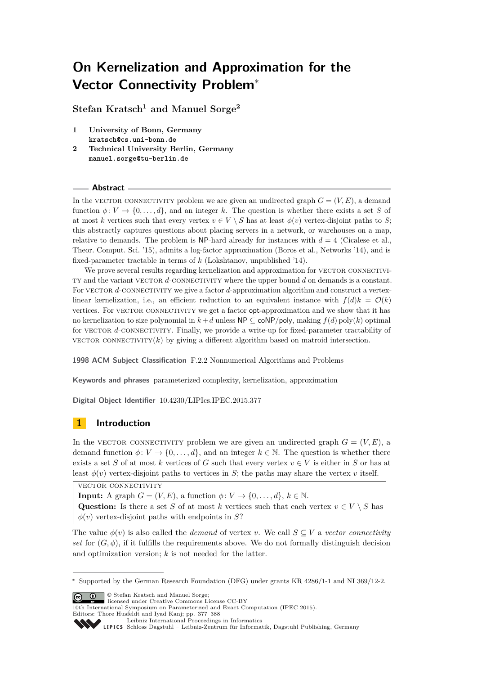**Stefan Kratsch<sup>1</sup> and Manuel Sorge<sup>2</sup>**

- **1 University of Bonn, Germany kratsch@cs.uni-bonn.de**
- **2 Technical University Berlin, Germany manuel.sorge@tu-berlin.de**

# **Abstract**

In the VECTOR CONNECTIVITY problem we are given an undirected graph  $G = (V, E)$ , a demand function  $\phi: V \to \{0, \ldots, d\}$ , and an integer *k*. The question is whether there exists a set *S* of at most *k* vertices such that every vertex  $v \in V \setminus S$  has at least  $\phi(v)$  vertex-disjoint paths to *S*; this abstractly captures questions about placing servers in a network, or warehouses on a map, relative to demands. The problem is NP-hard already for instances with  $d = 4$  (Cicalese et al., Theor. Comput. Sci. '15), admits a log-factor approximation (Boros et al., Networks '14), and is fixed-parameter tractable in terms of *k* (Lokshtanov, unpublished '14).

We prove several results regarding kernelization and approximation for VECTOR CONNECTIVIty and the variant vector *d*-connectivity where the upper bound *d* on demands is a constant. For VECTOR *d*-CONNECTIVITY we give a factor *d*-approximation algorithm and construct a vertexlinear kernelization, i.e., an efficient reduction to an equivalent instance with  $f(d)k = \mathcal{O}(k)$ vertices. For VECTOR CONNECTIVITY we get a factor opt-approximation and we show that it has no kernelization to size polynomial in  $k + d$  unless  $\mathsf{NP} \subseteq \mathsf{coNP/poly}$ , making  $f(d)$  poly(k) optimal for VECTOR d-CONNECTIVITY. Finally, we provide a write-up for fixed-parameter tractability of vector connectivity( $k$ ) by giving a different algorithm based on matroid intersection.

**1998 ACM Subject Classification** F.2.2 Nonnumerical Algorithms and Problems

**Keywords and phrases** parameterized complexity, kernelization, approximation

**Digital Object Identifier** [10.4230/LIPIcs.IPEC.2015.377](http://dx.doi.org/10.4230/LIPIcs.IPEC.2015.377)

# **1 Introduction**

In the VECTOR CONNECTIVITY problem we are given an undirected graph  $G = (V, E)$ , a demand function  $\phi: V \to \{0, \ldots, d\}$ , and an integer  $k \in \mathbb{N}$ . The question is whether there exists a set *S* of at most *k* vertices of *G* such that every vertex  $v \in V$  is either in *S* or has at least  $\phi(v)$  vertex-disjoint paths to vertices in *S*; the paths may share the vertex *v* itself.

VECTOR CONNECTIVITY

**Input:** A graph  $G = (V, E)$ , a function  $\phi: V \to \{0, \ldots, d\}, k \in \mathbb{N}$ . Question: Is there a set *S* of at most *k* vertices such that each vertex  $v \in V \setminus S$  has  $\phi(v)$  vertex-disjoint paths with endpoints in *S*?

The value  $\phi(v)$  is also called the *demand* of vertex *v*. We call  $S \subseteq V$  a *vector connectivity set* for  $(G, \phi)$ , if it fulfills the requirements above. We do not formally distinguish decision and optimization version; *k* is not needed for the latter.

**C**  $\bullet$   $\bullet$  Stefan Kratsch and Manuel Sorge;

<sup>∗</sup> Supported by the German Research Foundation (DFG) under grants KR 4286/1-1 and NI 369/12-2.

licensed under Creative Commons License CC-BY

<sup>10</sup>th International Symposium on Parameterized and Exact Computation (IPEC 2015). Editors: Thore Husfeldt and Iyad Kanj; pp. 377[–388](#page-11-0)

[Leibniz International Proceedings in Informatics](http://www.dagstuhl.de/lipics/)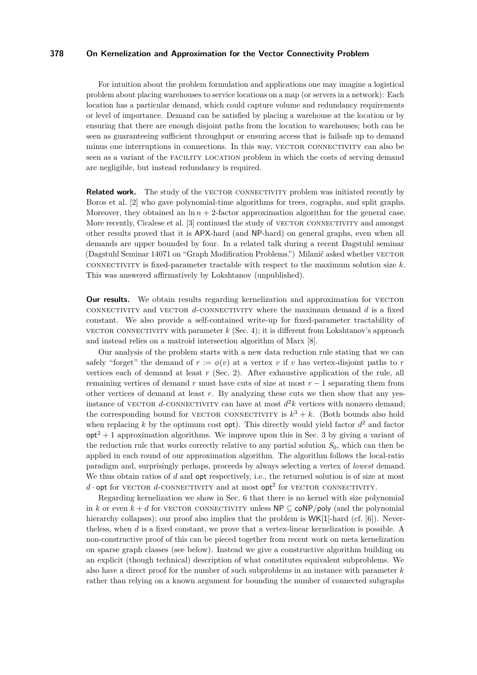For intuition about the problem formulation and applications one may imagine a logistical problem about placing warehouses to service locations on a map (or servers in a network): Each location has a particular demand, which could capture volume and redundancy requirements or level of importance. Demand can be satisfied by placing a warehouse at the location or by ensuring that there are enough disjoint paths from the location to warehouses; both can be seen as guaranteeing sufficient throughput or ensuring access that is failsafe up to demand minus one interruptions in connections. In this way, VECTOR CONNECTIVITY can also be seen as a variant of the facility location problem in which the costs of serving demand are negligible, but instead redundancy is required.

**Related work.** The study of the VECTOR CONNECTIVITY problem was initiated recently by Boros et al. [\[2\]](#page-11-1) who gave polynomial-time algorithms for trees, cographs, and split graphs. Moreover, they obtained an  $\ln n + 2$ -factor approximation algorithm for the general case. More recently, Cicalese et al. [\[3\]](#page-11-2) continued the study of VECTOR CONNECTIVITY and amongst other results proved that it is APX-hard (and NP-hard) on general graphs, even when all demands are upper bounded by four. In a related talk during a recent Dagstuhl seminar (Dagstuhl Seminar 14071 on "Graph Modification Problems.") Milanič asked whether VECTOR connectivity is fixed-parameter tractable with respect to the maximum solution size *k*. This was answered affirmatively by Lokshtanov (unpublished).

**Our results.** We obtain results regarding kernelization and approximation for VECTOR connectivity and vector *d*-connectivity where the maximum demand *d* is a fixed constant. We also provide a self-contained write-up for fixed-parameter tractability of vector connectivity with parameter  $k$  (Sec. [4\)](#page-6-0); it is different from Lokshtanov's approach and instead relies on a matroid intersection algorithm of Marx [\[8\]](#page-11-3).

Our analysis of the problem starts with a new data reduction rule stating that we can safely "forget" the demand of  $r := \phi(v)$  at a vertex v if v has vertex-disjoint paths to r vertices each of demand at least *r* (Sec. [2\)](#page-3-0). After exhaustive application of the rule, all remaining vertices of demand *r* must have cuts of size at most *r* − 1 separating them from other vertices of demand at least *r*. By analyzing these cuts we then show that any yesinstance of VECTOR d-CONNECTIVITY can have at most  $d^2k$  vertices with nonzero demand; the corresponding bound for VECTOR CONNECTIVITY is  $k^3 + k$ . (Both bounds also hold when replacing  $k$  by the optimum cost  $opt$ ). This directly would yield factor  $d^2$  and factor  $opt<sup>2</sup> + 1$  approximation algorithms. We improve upon this in Sec. [3](#page-4-0) by giving a variant of the reduction rule that works correctly relative to any partial solution  $S_0$ , which can then be applied in each round of our approximation algorithm. The algorithm follows the local-ratio paradigm and, surprisingly perhaps, proceeds by always selecting a vertex of *lowest* demand. We thus obtain ratios of *d* and **opt** respectively, i.e., the returned solution is of size at most  $d$  · opt for vector  $d$ -connectivity and at most  $\mathsf{opt}^2$  for vector connectivity.

Regarding kernelization we show in Sec. [6](#page-10-0) that there is no kernel with size polynomial in *k* or even  $k + d$  for VECTOR CONNECTIVITY unless  $\mathsf{NP} \subseteq \mathsf{coNP/poly}$  (and the polynomial hierarchy collapses); our proof also implies that the problem is  $WK[1]$ -hard (cf. [\[6\]](#page-11-4)). Nevertheless, when *d* is a fixed constant, we prove that a vertex-linear kernelization is possible. A non-constructive proof of this can be pieced together from recent work on meta kernelization on sparse graph classes (see below). Instead we give a constructive algorithm building on an explicit (though technical) description of what constitutes equivalent subproblems. We also have a direct proof for the number of such subproblems in an instance with parameter *k* rather than relying on a known argument for bounding the number of connected subgraphs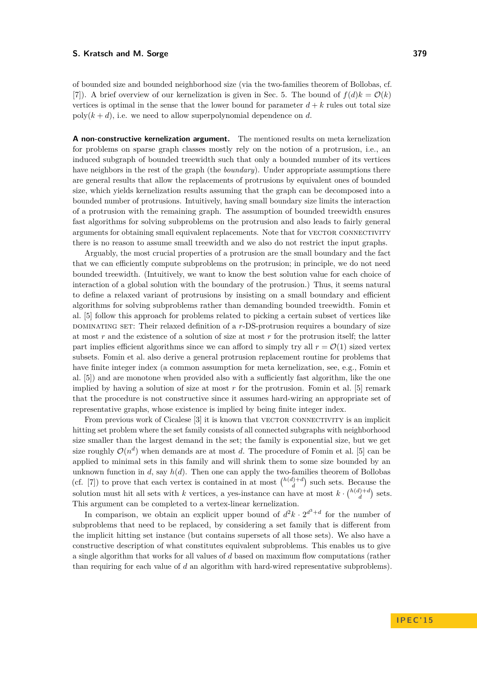of bounded size and bounded neighborhood size (via the two-families theorem of Bollobas, cf. [\[7\]](#page-11-5)). A brief overview of our kernelization is given in Sec. [5.](#page-7-0) The bound of  $f(d)k = \mathcal{O}(k)$ vertices is optimal in the sense that the lower bound for parameter  $d + k$  rules out total size  $poly(k+d)$ , i.e. we need to allow superpolynomial dependence on *d*.

**A non-constructive kernelization argument.** The mentioned results on meta kernelization for problems on sparse graph classes mostly rely on the notion of a protrusion, i.e., an induced subgraph of bounded treewidth such that only a bounded number of its vertices have neighbors in the rest of the graph (the *boundary*). Under appropriate assumptions there are general results that allow the replacements of protrusions by equivalent ones of bounded size, which yields kernelization results assuming that the graph can be decomposed into a bounded number of protrusions. Intuitively, having small boundary size limits the interaction of a protrusion with the remaining graph. The assumption of bounded treewidth ensures fast algorithms for solving subproblems on the protrusion and also leads to fairly general arguments for obtaining small equivalent replacements. Note that for VECTOR CONNECTIVITY there is no reason to assume small treewidth and we also do not restrict the input graphs.

Arguably, the most crucial properties of a protrusion are the small boundary and the fact that we can efficiently compute subproblems on the protrusion; in principle, we do not need bounded treewidth. (Intuitively, we want to know the best solution value for each choice of interaction of a global solution with the boundary of the protrusion.) Thus, it seems natural to define a relaxed variant of protrusions by insisting on a small boundary and efficient algorithms for solving subproblems rather than demanding bounded treewidth. Fomin et al. [\[5\]](#page-11-6) follow this approach for problems related to picking a certain subset of vertices like dominating set: Their relaxed definition of a *r*-DS-protrusion requires a boundary of size at most *r* and the existence of a solution of size at most *r* for the protrusion itself; the latter part implies efficient algorithms since we can afford to simply try all  $r = \mathcal{O}(1)$  sized vertex subsets. Fomin et al. also derive a general protrusion replacement routine for problems that have finite integer index (a common assumption for meta kernelization, see, e.g., Fomin et al. [\[5\]](#page-11-6)) and are monotone when provided also with a sufficiently fast algorithm, like the one implied by having a solution of size at most r for the protrusion. Fomin et al. [\[5\]](#page-11-6) remark that the procedure is not constructive since it assumes hard-wiring an appropriate set of representative graphs, whose existence is implied by being finite integer index.

From previous work of Cicalese [\[3\]](#page-11-2) it is known that VECTOR CONNECTIVITY is an implicit hitting set problem where the set family consists of all connected subgraphs with neighborhood size smaller than the largest demand in the set; the family is exponential size, but we get size roughly  $\mathcal{O}(n^d)$  when demands are at most *d*. The procedure of Fomin et al. [\[5\]](#page-11-6) can be applied to minimal sets in this family and will shrink them to some size bounded by an unknown function in  $d$ , say  $h(d)$ . Then one can apply the two-families theorem of Bollobas (cf. [\[7\]](#page-11-5)) to prove that each vertex is contained in at most  $\binom{h(d)+d}{d}$  such sets. Because the solution must hit all sets with *k* vertices, a yes-instance can have at most  $k \cdot {h(d)+d \choose d}$  sets. This argument can be completed to a vertex-linear kernelization.

In comparison, we obtain an explicit upper bound of  $d^2k \cdot 2^{d^3+d}$  for the number of subproblems that need to be replaced, by considering a set family that is different from the implicit hitting set instance (but contains supersets of all those sets). We also have a constructive description of what constitutes equivalent subproblems. This enables us to give a single algorithm that works for all values of *d* based on maximum flow computations (rather than requiring for each value of *d* an algorithm with hard-wired representative subproblems).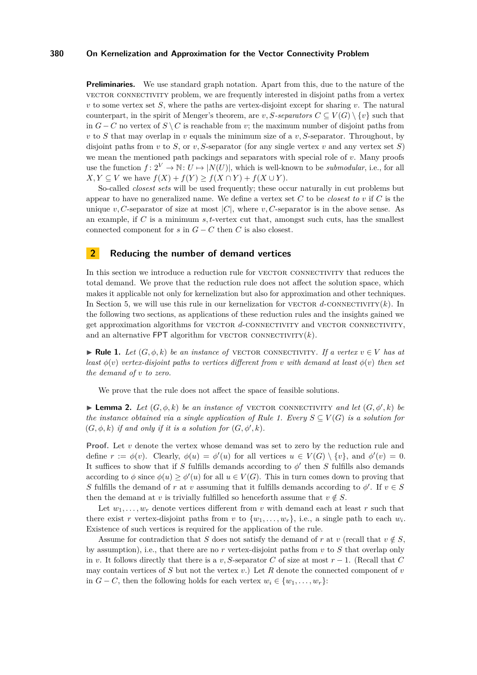**Preliminaries.** We use standard graph notation. Apart from this, due to the nature of the vector connectivity problem, we are frequently interested in disjoint paths from a vertex *v* to some vertex set *S*, where the paths are vertex-disjoint except for sharing *v*. The natural counterpart, in the spirit of Menger's theorem, are *v*, *S-separators*  $C \subseteq V(G) \setminus \{v\}$  such that in *G* − *C* no vertex of *S*  $\setminus$  *C* is reachable from *v*; the maximum number of disjoint paths from *v* to *S* that may overlap in *v* equals the minimum size of a *v, S*-separator. Throughout, by disjoint paths from *v* to *S*, or *v*, *S*-separator (for any single vertex *v* and any vertex set *S*) we mean the mentioned path packings and separators with special role of *v*. Many proofs use the function  $f: 2^V \to \mathbb{N}: U \mapsto |N(U)|$ , which is well-known to be *submodular*, i.e., for all  $X, Y \subseteq V$  we have  $f(X) + f(Y) \ge f(X \cap Y) + f(X \cup Y)$ .

So-called *closest sets* will be used frequently; these occur naturally in cut problems but appear to have no generalized name. We define a vertex set *C* to be *closest to v* if *C* is the unique *v*, C-separator of size at most  $|C|$ , where *v*, C-separator is in the above sense. As an example, if *C* is a minimum *s, t*-vertex cut that, amongst such cuts, has the smallest connected component for  $s$  in  $G - C$  then  $C$  is also closest.

## <span id="page-3-0"></span>**2 Reducing the number of demand vertices**

In this section we introduce a reduction rule for VECTOR CONNECTIVITY that reduces the total demand. We prove that the reduction rule does not affect the solution space, which makes it applicable not only for kernelization but also for approximation and other techniques. In Section [5,](#page-7-0) we will use this rule in our kernelization for vector  $d$ -connectivity $(k)$ . In the following two sections, as applications of these reduction rules and the insights gained we get approximation algorithms for VECTOR *d*-CONNECTIVITY and VECTOR CONNECTIVITY, and an alternative FPT algorithm for VECTOR CONNECTIVITY $(k)$ .

<span id="page-3-1"></span>**► Rule 1.** Let  $(G, \phi, k)$  be an instance of VECTOR CONNECTIVITY. If a vertex  $v \in V$  has at *least*  $\phi(v)$  *vertex-disjoint paths to vertices different from <i>v with demand at least*  $\phi(v)$  *then set the demand of v to zero.*

We prove that the rule does not affect the space of feasible solutions.

**Lemma 2.** Let  $(G, \phi, k)$  be an instance of VECTOR CONNECTIVITY and let  $(G, \phi', k)$  be *the instance obtained via a single application of Rule* [1.](#page-3-1) *Every*  $S \subset V(G)$  *is a solution for*  $(G, \phi, k)$  *if and only if it is a solution for*  $(G, \phi', k)$ *.* 

**Proof.** Let *v* denote the vertex whose demand was set to zero by the reduction rule and define  $r := \phi(v)$ . Clearly,  $\phi(u) = \phi'(u)$  for all vertices  $u \in V(G) \setminus \{v\}$ , and  $\phi'(v) = 0$ . It suffices to show that if *S* fulfills demands according to  $\phi'$  then *S* fulfills also demands according to  $\phi$  since  $\phi(u) \geq \phi'(u)$  for all  $u \in V(G)$ . This in turn comes down to proving that *S* fulfills the demand of *r* at *v* assuming that it fulfills demands according to  $\phi'$ . If  $v \in S$ then the demand at *v* is trivially fulfilled so henceforth assume that  $v \notin S$ .

Let  $w_1, \ldots, w_r$  denote vertices different from *v* with demand each at least *r* such that there exist *r* vertex-disjoint paths from *v* to  $\{w_1, \ldots, w_r\}$ , i.e., a single path to each  $w_i$ . Existence of such vertices is required for the application of the rule.

Assume for contradiction that *S* does not satisfy the demand of *r* at *v* (recall that  $v \notin S$ , by assumption), i.e., that there are no *r* vertex-disjoint paths from *v* to *S* that overlap only in *v*. It follows directly that there is a *v*, S-separator *C* of size at most  $r-1$ . (Recall that *C* may contain vertices of *S* but not the vertex *v*.) Let *R* denote the connected component of *v* in *G* − *C*, then the following holds for each vertex  $w_i \in \{w_1, \ldots, w_r\}$ :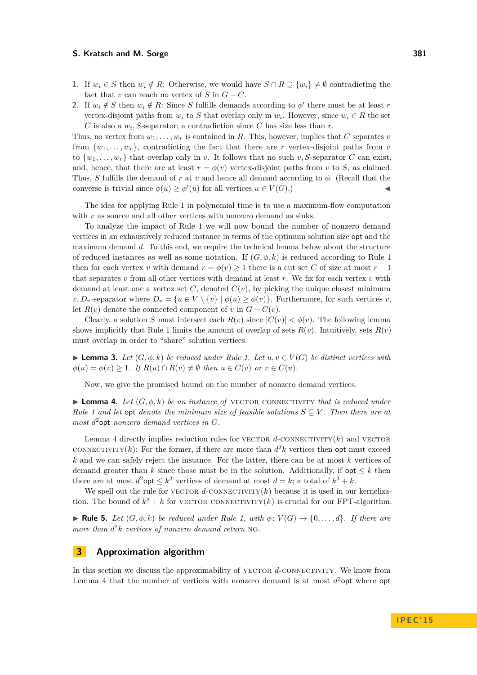- **1.** If  $w_i \in S$  then  $w_i \notin R$ : Otherwise, we would have  $S \cap R \supseteq \{w_i\} \neq \emptyset$  contradicting the fact that *v* can reach no vertex of  $S$  in  $G - C$ .
- **2.** If  $w_i \notin S$  then  $w_i \notin R$ : Since *S* fulfills demands according to  $\phi'$  there must be at least *r* vertex-disjoint paths from  $w_i$  to *S* that overlap only in  $w_i$ . However, since  $w_i \in R$  the set *C* is also a  $w_i$ , *S*-separator; a contradiction since *C* has size less than *r*.

Thus, no vertex from  $w_1, \ldots, w_r$  is contained in R. This, however, implies that C separates *v* from  $\{w_1, \ldots, w_r\}$ , contradicting the fact that there are *r* vertex-disjoint paths from *v* to  $\{w_1, \ldots, w_r\}$  that overlap only in *v*. It follows that no such *v*, *S*-separator *C* can exist, and, hence, that there are at least  $r = \phi(v)$  vertex-disjoint paths from *v* to *S*, as claimed. Thus, *S* fulfills the demand of *r* at *v* and hence all demand according to *φ*. (Recall that the converse is trivial since  $\phi(u) \geq \phi'(u)$  for all vertices  $u \in V(G)$ .)

The idea for applying Rule [1](#page-3-1) in polynomial time is to use a maximum-flow computation with *v* as source and all other vertices with nonzero demand as sinks.

To analyze the impact of Rule [1](#page-3-1) we will now bound the number of nonzero demand vertices in an exhaustively reduced instance in terms of the optimum solution size opt and the maximum demand *d*. To this end, we require the technical lemma below about the structure of reduced instances as well as some notation. If  $(G, \phi, k)$  is reduced according to Rule [1](#page-3-1) then for each vertex *v* with demand  $r = \phi(v) \geq 1$  there is a cut set *C* of size at most  $r - 1$ that separates  $v$  from all other vertices with demand at least  $r$ . We fix for each vertex  $v$  with demand at least one a vertex set  $C$ , denoted  $C(v)$ , by picking the unique closest minimum  $v, D_v$ -separator where  $D_v = \{u \in V \setminus \{v\} \mid \phi(u) \geq \phi(v)\}$ . Furthermore, for such vertices *v*, let  $R(v)$  denote the connected component of *v* in  $G - C(v)$ .

Clearly, a solution *S* must intersect each  $R(v)$  since  $|C(v)| < \phi(v)$ . The following lemma shows implicitly that Rule [1](#page-3-1) limits the amount of overlap of sets  $R(v)$ . Intuitively, sets  $R(v)$ must overlap in order to "share" solution vertices.

**► Lemma 3.** Let  $(G, \phi, k)$  be reduced under Rule [1.](#page-3-1) Let  $u, v \in V(G)$  be distinct vertices with  $\phi(u) = \phi(v) \geq 1$ *. If*  $R(u) \cap R(v) \neq \emptyset$  then  $u \in C(v)$  or  $v \in C(u)$ *.* 

Now, we give the promised bound on the number of nonzero demand vertices.

<span id="page-4-1"></span>**Lemma 4.** Let  $(G, \phi, k)$  be an instance of VECTOR CONNECTIVITY that is reduced under *Rule* [1](#page-3-1) and let opt denote the minimum size of feasible solutions  $S \subseteq V$ . Then there are at *most d* <sup>2</sup>opt *nonzero demand vertices in G.*

Lemma [4](#page-4-1) directly implies reduction rules for VECTOR  $d$ -CONNECTIVITY $(k)$  and VECTOR CONNECTIVITY(k): For the former, if there are more than  $d^2k$  vertices then opt must exceed *k* and we can safely reject the instance. For the latter, there can be at most *k* vertices of demand greater than  $k$  since those must be in the solution. Additionally, if  $opt \leq k$  then there are at most  $d^2$ **opt**  $\leq k^3$  vertices of demand at most  $d = k$ ; a total of  $k^3 + k$ .

We spell out the rule for VECTOR  $d$ -CONNECTIVITY $(k)$  because it is used in our kernelization. The bound of  $k^3 + k$  for vector connectivity(*k*) is crucial for our FPT-algorithm.

<span id="page-4-2"></span>► **Rule 5.** *Let*  $(G, \phi, k)$  *be reduced under Rule* [1,](#page-3-1) *with*  $\phi: V(G) \to \{0, \ldots, d\}$ *. If there are more than d* <sup>2</sup>*k vertices of nonzero demand return* no*.*

# <span id="page-4-0"></span>**3 Approximation algorithm**

In this section we discuss the approximability of VECTOR d-CONNECTIVITY. We know from Lemma [4](#page-4-1) that the number of vertices with nonzero demand is at most  $d^2$  opt where opt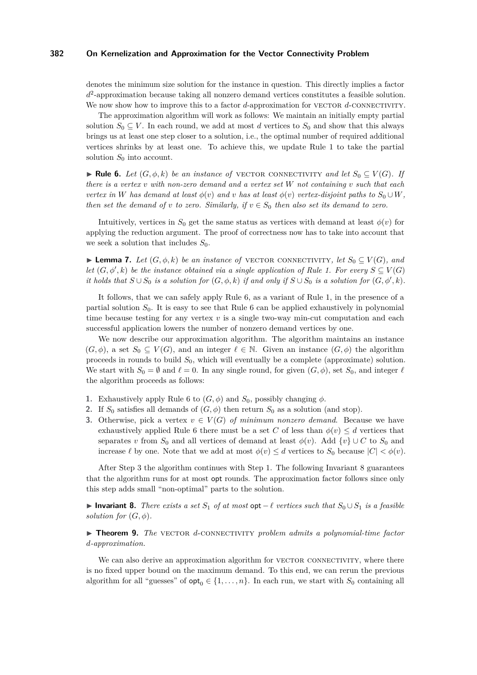denotes the minimum size solution for the instance in question. This directly implies a factor *d* 2 -approximation because taking all nonzero demand vertices constitutes a feasible solution. We now show how to improve this to a factor *d*-approximation for VECTOR *d*-CONNECTIVITY.

The approximation algorithm will work as follows: We maintain an initially empty partial solution  $S_0 \subseteq V$ . In each round, we add at most *d* vertices to  $S_0$  and show that this always brings us at least one step closer to a solution, i.e., the optimal number of required additional vertices shrinks by at least one. To achieve this, we update Rule [1](#page-3-1) to take the partial solution  $S_0$  into account.

<span id="page-5-0"></span>► **Rule 6.** Let  $(G, \phi, k)$  be an instance of VECTOR CONNECTIVITY and let  $S_0 \subseteq V(G)$ . If *there is a vertex v with non-zero demand and a vertex set W not containing v such that each vertex in W has demand at least*  $\phi(v)$  *and v has at least*  $\phi(v)$  *vertex-disjoint paths to*  $S_0 \cup W$ *, then set the demand of v to zero. Similarly, if*  $v \in S_0$  *then also set its demand to zero.* 

Intuitively, vertices in  $S_0$  get the same status as vertices with demand at least  $\phi(v)$  for applying the reduction argument. The proof of correctness now has to take into account that we seek a solution that includes  $S_0$ .

► **Lemma 7.** Let  $(G, \phi, k)$  be an instance of VECTOR CONNECTIVITY, let  $S_0 \subseteq V(G)$ , and *let*  $(G, \phi', k)$  *be the instance obtained via a single application of Rule* [1.](#page-3-1) *For every*  $S \subseteq V(G)$ *it holds that*  $S \cup S_0$  *is a solution for*  $(G, \phi, k)$  *if and only if*  $S \cup S_0$  *is a solution for*  $(G, \phi', k)$ *.* 

It follows, that we can safely apply Rule [6,](#page-5-0) as a variant of Rule [1,](#page-3-1) in the presence of a partial solution  $S_0$ . It is easy to see that Rule [6](#page-5-0) can be applied exhaustively in polynomial time because testing for any vertex *v* is a single two-way min-cut computation and each successful application lowers the number of nonzero demand vertices by one.

We now describe our approximation algorithm. The algorithm maintains an instance  $(G, \phi)$ , a set  $S_0 \subseteq V(G)$ , and an integer  $\ell \in \mathbb{N}$ . Given an instance  $(G, \phi)$  the algorithm proceeds in rounds to build *S*0, which will eventually be a complete (approximate) solution. We start with  $S_0 = \emptyset$  and  $\ell = 0$ . In any single round, for given  $(G, \phi)$ , set  $S_0$ , and integer  $\ell$ the algorithm proceeds as follows:

- <span id="page-5-2"></span>**1.** Exhaustively apply Rule [6](#page-5-0) to  $(G, \phi)$  and  $S_0$ , possibly changing  $\phi$ .
- **2.** If  $S_0$  satisfies all demands of  $(G, \phi)$  then return  $S_0$  as a solution (and stop).
- <span id="page-5-1"></span>**3.** Otherwise, pick a vertex  $v \in V(G)$  *of minimum nonzero demand*. Because we have exhaustively applied Rule [6](#page-5-0) there must be a set *C* of less than  $\phi(v) \leq d$  vertices that separates *v* from  $S_0$  and all vertices of demand at least  $\phi(v)$ . Add  $\{v\} \cup C$  to  $S_0$  and increase  $\ell$  by one. Note that we add at most  $\phi(v) \leq d$  vertices to  $S_0$  because  $|C| < \phi(v)$ .

After Step [3](#page-5-1) the algorithm continues with Step [1.](#page-5-2) The following Invariant [8](#page-5-3) guarantees that the algorithm runs for at most opt rounds. The approximation factor follows since only this step adds small "non-optimal" parts to the solution.

<span id="page-5-3"></span>**► Invariant 8.** *There exists a set*  $S_1$  *of at most*  $opt - \ell$  *vertices such that*  $S_0 \cup S_1$  *is a feasible solution for*  $(G, \phi)$ *.* 

▶ **Theorem 9.** *The* VECTOR *d*-CONNECTIVITY *problem admits a polynomial-time factor d-approximation.*

We can also derive an approximation algorithm for VECTOR CONNECTIVITY, where there is no fixed upper bound on the maximum demand. To this end, we can rerun the previous algorithm for all "guesses" of  $\mathsf{opt}_0 \in \{1, \ldots, n\}$ . In each run, we start with  $S_0$  containing all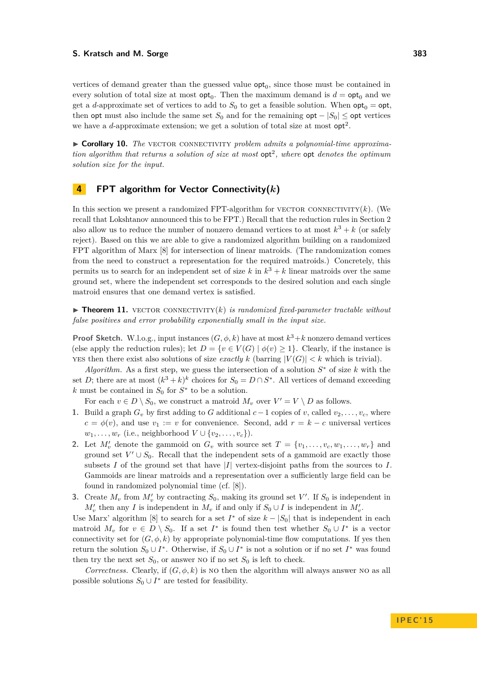vertices of demand greater than the guessed value  $opt_0$ , since those must be contained in every solution of total size at most  $opt_0$ . Then the maximum demand is  $d = opt_0$  and we get a *d*-approximate set of vertices to add to  $S_0$  to get a feasible solution. When  $opt_0 = opt$ . then opt must also include the same set  $S_0$  and for the remaining opt  $-|S_0| \leq$  opt vertices we have a  $d$ -approximate extension; we get a solution of total size at most  $opt<sup>2</sup>$ .

► Corollary 10. The VECTOR CONNECTIVITY *problem admits a polynomial-time approximation algorithm that returns a solution of size at most*  $opt^2$ , where  $opt$  *denotes the optimum solution size for the input.*

# <span id="page-6-0"></span>**4 FPT algorithm for Vector Connectivity(***k***)**

In this section we present a randomized FPT-algorithm for vector connectivity $(k)$ . (We recall that Lokshtanov announced this to be FPT.) Recall that the reduction rules in Section [2](#page-3-0) also allow us to reduce the number of nonzero demand vertices to at most  $k^3 + k$  (or safely reject). Based on this we are able to give a randomized algorithm building on a randomized FPT algorithm of Marx [\[8\]](#page-11-3) for intersection of linear matroids. (The randomization comes from the need to construct a representation for the required matroids.) Concretely, this permits us to search for an independent set of size  $k$  in  $k^3 + k$  linear matroids over the same ground set, where the independent set corresponds to the desired solution and each single matroid ensures that one demand vertex is satisfied.

**Findmer 11.** VECTOR CONNECTIVITY $(k)$  *is randomized fixed-parameter tractable without false positives and error probability exponentially small in the input size.*

**Proof Sketch.** W.l.o.g., input instances  $(G, \phi, k)$  have at most  $k^3 + k$  nonzero demand vertices (else apply the reduction rules); let  $D = \{v \in V(G) \mid \phi(v) \geq 1\}$ . Clearly, if the instance is **YES** then there exist also solutions of size *exactly*  $k$  (barring  $|V(G)| < k$  which is trivial).

*Algorithm.* As a first step, we guess the intersection of a solution  $S^*$  of size  $k$  with the set *D*; there are at most  $(k^3 + k)^k$  choices for  $S_0 = D \cap S^*$ . All vertices of demand exceeding  $k$  must be contained in  $S_0$  for  $S^*$  to be a solution.

For each  $v \in D \setminus S_0$ , we construct a matroid  $M_v$  over  $V' = V \setminus D$  as follows.

- 1. Build a graph  $G_v$  by first adding to  $G$  additional  $c-1$  copies of  $v$ , called  $v_2, \ldots, v_c$ , where  $c = \phi(v)$ , and use  $v_1 := v$  for convenience. Second, add  $r = k - c$  universal vertices *w*<sub>1</sub>*,..., w<sub>r</sub>* (i.e., neighborhood *V* ∪ {*v*<sub>2</sub>*,..., v<sub>c</sub></sub>}).*
- **2.** Let  $M'_v$  denote the gammoid on  $G_v$  with source set  $T = \{v_1, \ldots, v_c, w_1, \ldots, w_r\}$  and ground set  $V' \cup S_0$ . Recall that the independent sets of a gammoid are exactly those subsets  $I$  of the ground set that have  $|I|$  vertex-disjoint paths from the sources to  $I$ . Gammoids are linear matroids and a representation over a sufficiently large field can be found in randomized polynomial time (cf. [\[8\]](#page-11-3)).
- **3.** Create  $M_v$  from  $M'_v$  by contracting  $S_0$ , making its ground set  $V'$ . If  $S_0$  is independent in  $M'_v$  then any *I* is independent in  $M_v$  if and only if  $S_0 \cup I$  is independent in  $M'_v$ .

Use Marx' algorithm [\[8\]](#page-11-3) to search for a set  $I^*$  of size  $k - |S_0|$  that is independent in each matroid  $M_v$  for  $v \in D \setminus S_0$ . If a set  $I^*$  is found then test whether  $S_0 \cup I^*$  is a vector connectivity set for  $(G, \phi, k)$  by appropriate polynomial-time flow computations. If yes then return the solution  $S_0 \cup I^*$ . Otherwise, if  $S_0 \cup I^*$  is not a solution or if no set  $I^*$  was found then try the next set  $S_0$ , or answer NO if no set  $S_0$  is left to check.

*Correctness.* Clearly, if  $(G, \phi, k)$  is no then the algorithm will always answer no as all possible solutions  $S_0 \cup I^*$  are tested for feasibility.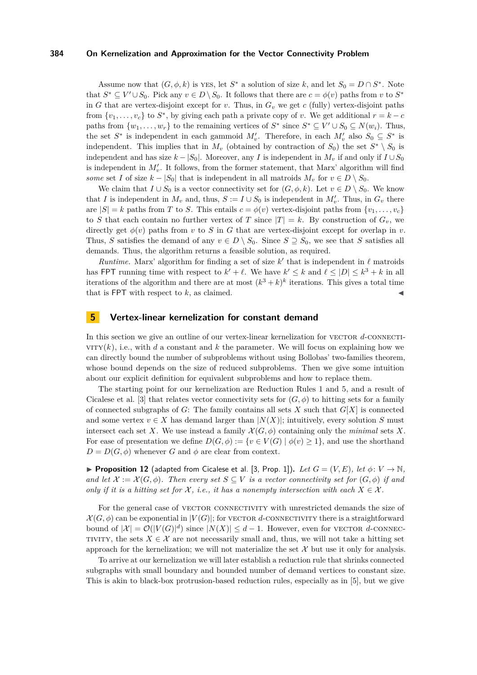Assume now that  $(G, \phi, k)$  is yes, let  $S^*$  a solution of size k, and let  $S_0 = D \cap S^*$ . Note that  $S^* \subseteq V' \cup S_0$ . Pick any  $v \in D \setminus S_0$ . It follows that there are  $c = \phi(v)$  paths from *v* to  $S^*$ in *G* that are vertex-disjoint except for *v*. Thus, in  $G<sub>v</sub>$  we get *c* (fully) vertex-disjoint paths from  $\{v_1, \ldots, v_c\}$  to  $S^*$ , by giving each path a private copy of *v*. We get additional  $r = k - c$ paths from  $\{w_1, \ldots, w_r\}$  to the remaining vertices of  $S^*$  since  $S^* \subseteq V' \cup S_0 \subseteq N(w_i)$ . Thus, the set  $S^*$  is independent in each gammoid  $M'_v$ . Therefore, in each  $M'_v$  also  $S_0 \subseteq S^*$  is independent. This implies that in  $M_v$  (obtained by contraction of  $S_0$ ) the set  $S^* \setminus S_0$  is independent and has size  $k - |S_0|$ . Moreover, any *I* is independent in  $M_v$  if and only if  $I \cup S_0$ is independent in  $M'_v$ . It follows, from the former statement, that Marx' algorithm will find *some* set *I* of size  $k - |S_0|$  that is independent in all matroids  $M_v$  for  $v \in D \setminus S_0$ .

We claim that  $I \cup S_0$  is a vector connectivity set for  $(G, \phi, k)$ . Let  $v \in D \setminus S_0$ . We know that *I* is independent in  $M_v$  and, thus,  $S := I \cup S_0$  is independent in  $M'_v$ . Thus, in  $G_v$  there are  $|S| = k$  paths from *T* to *S*. This entails  $c = \phi(v)$  vertex-disjoint paths from  $\{v_1, \ldots, v_c\}$ to *S* that each contain no further vertex of *T* since  $|T| = k$ . By construction of  $G_v$ , we directly get  $\phi(v)$  paths from *v* to *S* in *G* that are vertex-disjoint except for overlap in *v*. Thus, *S* satisfies the demand of any  $v \in D \setminus S_0$ . Since  $S \supseteq S_0$ , we see that *S* satisfies all demands. Thus, the algorithm returns a feasible solution, as required.

*Runtime.* Marx' algorithm for finding a set of size  $k'$  that is independent in  $\ell$  matroids has FPT running time with respect to  $k' + \ell$ . We have  $k' \leq k$  and  $\ell \leq |D| \leq k^3 + k$  in all iterations of the algorithm and there are at most  $(k^3 + k)^k$  iterations. This gives a total time that is  $FPT$  with respect to  $k$ , as claimed.

# <span id="page-7-0"></span>**5 Vertex-linear kernelization for constant demand**

In this section we give an outline of our vertex-linear kernelization for VECTOR d-CONNECTI- $VITY(k)$ , i.e., with *d* a constant and *k* the parameter. We will focus on explaining how we can directly bound the number of subproblems without using Bollobas' two-families theorem, whose bound depends on the size of reduced subproblems. Then we give some intuition about our explicit definition for equivalent subproblems and how to replace them.

The starting point for our kernelization are Reduction Rules [1](#page-3-1) and [5,](#page-4-2) and a result of Cicalese et al. [\[3\]](#page-11-2) that relates vector connectivity sets for  $(G, \phi)$  to hitting sets for a family of connected subgraphs of *G*: The family contains all sets *X* such that *G*[*X*] is connected and some vertex  $v \in X$  has demand larger than  $|N(X)|$ ; intuitively, every solution *S* must intersect each set *X*. We use instead a family  $\mathcal{X}(G, \phi)$  containing only the *minimal* sets *X*. For ease of presentation we define  $D(G, \phi) := \{v \in V(G) \mid \phi(v) \geq 1\}$ , and use the shorthand  $D = D(G, \phi)$  whenever *G* and  $\phi$  are clear from context.

**Proposition 12** (adapted from Cicalese et al. [\[3,](#page-11-2) Prop. 1]). Let  $G = (V, E)$ , let  $\phi: V \to \mathbb{N}$ , *and let*  $\mathcal{X} := \mathcal{X}(G, \phi)$ *. Then every set*  $S \subseteq V$  *is a vector connectivity set for*  $(G, \phi)$  *if and only if it is a hitting set for*  $\mathcal{X}$ , *i.e., it has a nonempty intersection with each*  $X \in \mathcal{X}$ *.* 

For the general case of VECTOR CONNECTIVITY with unrestricted demands the size of  $\mathcal{X}(G,\phi)$  can be exponential in  $|V(G)|$ ; for vector *d*-connectivity there is a straightforward bound of  $|\mathcal{X}| = \mathcal{O}(|V(G)|^d)$  since  $|N(X)| \leq d-1$ . However, even for VECTOR d-CONNEC-TIVITY, the sets  $X \in \mathcal{X}$  are not necessarily small and, thus, we will not take a hitting set approach for the kernelization; we will not materialize the set  $\mathcal X$  but use it only for analysis.

To arrive at our kernelization we will later establish a reduction rule that shrinks connected subgraphs with small boundary and bounded number of demand vertices to constant size. This is akin to black-box protrusion-based reduction rules, especially as in [\[5\]](#page-11-6), but we give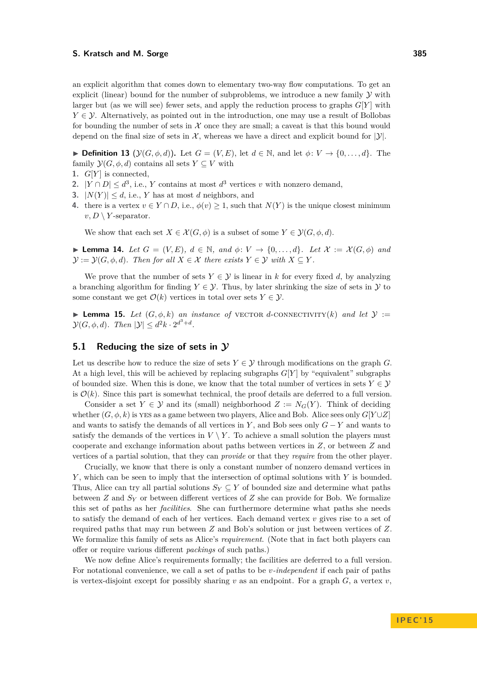an explicit algorithm that comes down to elementary two-way flow computations. To get an explicit (linear) bound for the number of subproblems, we introduce a new family  $\mathcal Y$  with larger but (as we will see) fewer sets, and apply the reduction process to graphs  $G[Y]$  with  $Y \in \mathcal{Y}$ . Alternatively, as pointed out in the introduction, one may use a result of Bollobas for bounding the number of sets in  $X$  once they are small; a caveat is that this bound would depend on the final size of sets in  $\mathcal{X}$ , whereas we have a direct and explicit bound for  $|\mathcal{Y}|$ .

**► Definition 13** ( $\mathcal{Y}(G, \phi, d)$ ). Let  $G = (V, E)$ , let  $d \in \mathbb{N}$ , and let  $\phi: V \to \{0, \ldots, d\}$ . The family  $\mathcal{Y}(G, \phi, d)$  contains all sets  $Y \subseteq V$  with

- 1.  $G[Y]$  is connected,
- 2.  $|Y \cap D| \leq d^3$ , i.e., *Y* contains at most  $d^3$  vertices *v* with nonzero demand,
- **3.**  $|N(Y)| \leq d$ , i.e., *Y* has at most *d* neighbors, and
- **4.** there is a vertex  $v \in Y \cap D$ , i.e.,  $\phi(v) \geq 1$ , such that  $N(Y)$  is the unique closest minimum  $v, D \setminus Y$ -separator.

We show that each set  $X \in \mathcal{X}(G, \phi)$  is a subset of some  $Y \in \mathcal{Y}(G, \phi, d)$ .

▶ **Lemma 14.** Let  $G = (V, E)$ ,  $d \in \mathbb{N}$ , and  $\phi: V \rightarrow \{0, ..., d\}$ . Let  $\mathcal{X} := \mathcal{X}(G, \phi)$  and  $\mathcal{Y} := \mathcal{Y}(G, \phi, d)$ *. Then for all*  $X \in \mathcal{X}$  *there exists*  $Y \in \mathcal{Y}$  *with*  $X \subseteq Y$ *.* 

We prove that the number of sets  $Y \in \mathcal{Y}$  is linear in *k* for every fixed *d*, by analyzing a branching algorithm for finding  $Y \in \mathcal{Y}$ . Thus, by later shrinking the size of sets in  $\mathcal{Y}$  to some constant we get  $\mathcal{O}(k)$  vertices in total over sets  $Y \in \mathcal{Y}$ .

**I Lemma 15.** Let  $(G, \phi, k)$  an instance of VECTOR d-CONNECTIVITY(k) and let  $\mathcal{Y}$  :=  $\mathcal{Y}(G, \phi, d)$ *.* Then  $|\mathcal{Y}| \leq d^2k \cdot 2^{d^3+d}$ *.* 

# **5.1 Reducing the size of sets in Y**

Let us describe how to reduce the size of sets  $Y \in \mathcal{Y}$  through modifications on the graph *G*. At a high level, this will be achieved by replacing subgraphs *G*[*Y* ] by "equivalent" subgraphs of bounded size. When this is done, we know that the total number of vertices in sets  $Y \in \mathcal{Y}$ is  $\mathcal{O}(k)$ . Since this part is somewhat technical, the proof details are deferred to a full version.

Consider a set  $Y \in \mathcal{Y}$  and its (small) neighborhood  $Z := N_G(Y)$ . Think of deciding whether  $(G, \phi, k)$  is yes as a game between two players, Alice and Bob. Alice sees only  $G[Y \cup Z]$ and wants to satisfy the demands of all vertices in *Y*, and Bob sees only  $G - Y$  and wants to satisfy the demands of the vertices in  $V \setminus Y$ . To achieve a small solution the players must cooperate and exchange information about paths between vertices in *Z*, or between *Z* and vertices of a partial solution, that they can *provide* or that they *require* from the other player.

Crucially, we know that there is only a constant number of nonzero demand vertices in *Y* , which can be seen to imply that the intersection of optimal solutions with *Y* is bounded. Thus, Alice can try all partial solutions  $S_Y \subseteq Y$  of bounded size and determine what paths between *Z* and *S<sup>Y</sup>* or between different vertices of *Z* she can provide for Bob. We formalize this set of paths as her *facilities*. She can furthermore determine what paths she needs to satisfy the demand of each of her vertices. Each demand vertex *v* gives rise to a set of required paths that may run between *Z* and Bob's solution or just between vertices of *Z*. We formalize this family of sets as Alice's *requirement*. (Note that in fact both players can offer or require various different *packings* of such paths.)

We now define Alice's requirements formally; the facilities are deferred to a full version. For notational convenience, we call a set of paths to be *v-independent* if each pair of paths is vertex-disjoint except for possibly sharing  $v$  as an endpoint. For a graph  $G$ , a vertex  $v$ ,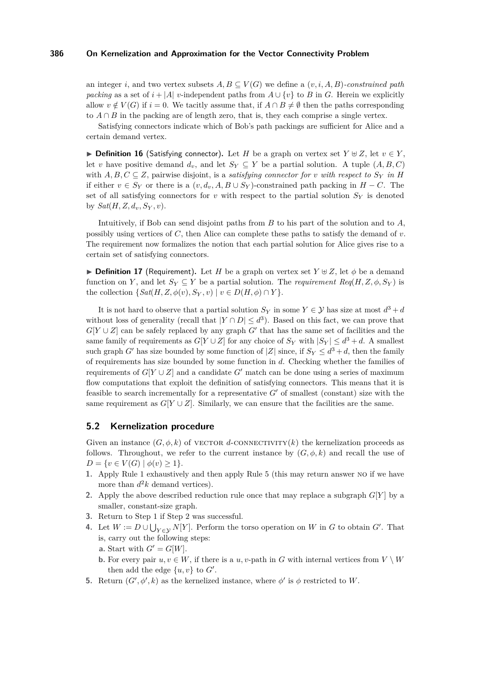an integer *i*, and two vertex subsets  $A, B \subseteq V(G)$  we define a  $(v, i, A, B)$ *-constrained path packing* as a set of  $i + |A|$  *v*-independent paths from  $A \cup \{v\}$  to *B* in *G*. Herein we explicitly allow  $v \notin V(G)$  if  $i = 0$ . We tacitly assume that, if  $A \cap B \neq \emptyset$  then the paths corresponding to  $A \cap B$  in the packing are of length zero, that is, they each comprise a single vertex.

Satisfying connectors indicate which of Bob's path packings are sufficient for Alice and a certain demand vertex.

▶ **Definition 16** (Satisfying connector). Let *H* be a graph on vertex set  $Y \oplus Z$ , let  $v \in Y$ , let *v* have positive demand  $d_v$ , and let  $S_Y \subseteq Y$  be a partial solution. A tuple  $(A, B, C)$ with  $A, B, C \subseteq \mathbb{Z}$ , pairwise disjoint, is a *satisfying connector for v with respect to*  $S_Y$  *in H* if either  $v \in S_Y$  or there is a  $(v, d_v, A, B \cup S_Y)$ -constrained path packing in  $H - C$ . The set of all satisfying connectors for  $v$  with respect to the partial solution  $S_Y$  is denoted by  $Sat(H, Z, d_v, S_Y, v)$ .

Intuitively, if Bob can send disjoint paths from *B* to his part of the solution and to *A*, possibly using vertices of *C*, then Alice can complete these paths to satisfy the demand of *v*. The requirement now formalizes the notion that each partial solution for Alice gives rise to a certain set of satisfying connectors.

**Definition 17** (Requirement). Let *H* be a graph on vertex set  $Y \oplus Z$ , let  $\phi$  be a demand function on *Y*, and let  $S_Y \subseteq Y$  be a partial solution. The *requirement*  $Req(H, Z, \phi, S_Y)$  is the collection  $\{Sat(H, Z, \phi(v), S_Y, v) \mid v \in D(H, \phi) \cap Y\}.$ 

It is not hard to observe that a partial solution  $S_Y$  in some  $Y \in \mathcal{Y}$  has size at most  $d^3 + d$ without loss of generality (recall that  $|Y \cap D| \leq d^3$ ). Based on this fact, we can prove that  $G[Y \cup Z]$  can be safely replaced by any graph  $G'$  that has the same set of facilities and the same family of requirements as  $G[Y \cup Z]$  for any choice of  $S_Y$  with  $|S_Y| \leq d^3 + d$ . A smallest such graph *G*<sup> $\prime$ </sup> has size bounded by some function of  $|Z|$  since, if  $S_Y \leq d^3 + d$ , then the family of requirements has size bounded by some function in *d*. Checking whether the families of requirements of  $G[Y \cup Z]$  and a candidate  $G'$  match can be done using a series of maximum flow computations that exploit the definition of satisfying connectors. This means that it is feasible to search incrementally for a representative  $G'$  of smallest (constant) size with the same requirement as  $G[Y \cup Z]$ . Similarly, we can ensure that the facilities are the same.

# **5.2 Kernelization procedure**

Given an instance  $(G, \phi, k)$  of vector *d*-connectivity(*k*) the kernelization proceeds as follows. Throughout, we refer to the current instance by  $(G, \phi, k)$  and recall the use of *D* = {*v* ∈ *V*(*G*) |  $\phi(v) \geq 1$  }.

- <span id="page-9-0"></span>**1.** Apply Rule [1](#page-3-1) exhaustively and then apply Rule [5](#page-4-2) (this may return answer no if we have more than  $d^2k$  demand vertices).
- <span id="page-9-1"></span>**2.** Apply the above described reduction rule once that may replace a subgraph  $G[Y]$  by a smaller, constant-size graph.
- **3.** Return to Step [1](#page-9-0) if Step [2](#page-9-1) was successful.
- **4.** Let  $W := D \cup \bigcup_{Y \in \mathcal{Y}} N[Y]$ . Perform the torso operation on *W* in *G* to obtain *G'*. That is, carry out the following steps:
	- **a.** Start with  $G' = G[W]$ .
	- **b.** For every pair  $u, v \in W$ , if there is a *u, v*-path in *G* with internal vertices from  $V \setminus W$ then add the edge  $\{u, v\}$  to  $G'$ .
- <span id="page-9-2"></span>**5.** Return  $(G', \phi', k)$  as the kernelized instance, where  $\phi'$  is  $\phi$  restricted to *W*.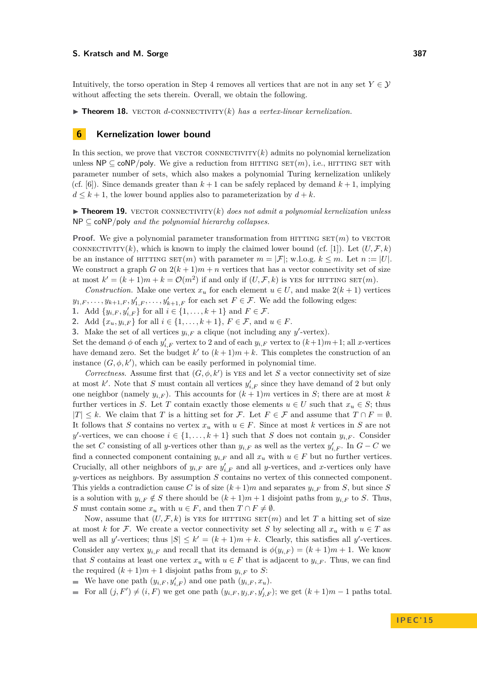Intuitively, the torso operation in Step [4](#page-9-2) removes all vertices that are not in any set  $Y \in \mathcal{Y}$ without affecting the sets therein. Overall, we obtain the following.

**Findmergeright 18.** vector *d*-connectivity(*k*) *has a vertex-linear kernelization.* 

# <span id="page-10-0"></span>**6 Kernelization lower bound**

In this section, we prove that VECTOR CONNECTIVITY $(k)$  admits no polynomial kernelization unless  $\mathsf{NP} \subseteq \mathsf{coNP/poly}$ . We give a reduction from HITTING  $\mathsf{SET}(m)$ , i.e., HITTING SET with parameter number of sets, which also makes a polynomial Turing kernelization unlikely (cf. [\[6\]](#page-11-4)). Since demands greater than  $k+1$  can be safely replaced by demand  $k+1$ , implying  $d \leq k+1$ , the lower bound applies also to parameterization by  $d + k$ .

 $\triangleright$  **Theorem 19.** vector connectivity(*k*) *does not admit a polynomial kernelization unless* NP ⊆ coNP*/*poly *and the polynomial hierarchy collapses.*

**Proof.** We give a polynomial parameter transformation from HITTING  $SET(m)$  to VECTOR connectivity(k), which is known to imply the claimed lower bound (cf. [\[1\]](#page-11-7)). Let  $(U, \mathcal{F}, k)$ be an instance of HITTING  $SET(m)$  with parameter  $m = |\mathcal{F}|$ ; w.l.o.g.  $k \leq m$ . Let  $n := |U|$ . We construct a graph *G* on  $2(k+1)m+n$  vertices that has a vector connectivity set of size at most  $k' = (k+1)m + k = \mathcal{O}(m^2)$  if and only if  $(U, \mathcal{F}, k)$  is yes for HITTING SET $(m)$ .

*Construction.* Make one vertex  $x_u$  for each element  $u \in U$ , and make  $2(k+1)$  vertices  $y_{1,F}, \ldots, y_{k+1,F}, y'_{1,F}, \ldots, y'_{k+1,F}$  for each set  $F \in \mathcal{F}$ . We add the following edges:

**1.** Add  $\{y_{i,F}, y'_{i,F}\}$  for all  $i \in \{1, ..., k+1\}$  and  $F \in \mathcal{F}$ .

**2.** Add  $\{x_u, y_{i,F}\}$  for all  $i \in \{1, ..., k+1\}$ ,  $F \in \mathcal{F}$ , and  $u \in F$ .

**3.** Make the set of all vertices  $y_{i,F}$  a clique (not including any  $y'$ -vertex).

Set the demand  $\phi$  of each  $y'_{i,F}$  vertex to 2 and of each  $y_{i,F}$  vertex to  $(k+1)m+1$ ; all *x*-vertices have demand zero. Set the budget  $k'$  to  $(k+1)m+k$ . This completes the construction of an instance  $(G, \phi, k')$ , which can be easily performed in polynomial time.

*Correctness.* Assume first that  $(G, \phi, k')$  is YES and let *S* a vector connectivity set of size at most  $k'$ . Note that *S* must contain all vertices  $y'_{i,F}$  since they have demand of 2 but only one neighbor (namely  $y_{i,F}$ ). This accounts for  $(k+1)m$  vertices in *S*; there are at most *k* further vertices in *S*. Let *T* contain exactly those elements  $u \in U$  such that  $x_u \in S$ ; thus  $|T|$  ≤ *k*. We claim that *T* is a hitting set for *F*. Let *F* ∈ *F* and assume that  $T \cap F = ∅$ . It follows that *S* contains no vertex  $x<sub>u</sub>$  with  $u \in F$ . Since at most *k* vertices in *S* are not *y*-vertices, we can choose  $i \in \{1, ..., k+1\}$  such that *S* does not contain  $y_{i,F}$ . Consider the set *C* consisting of all *y*-vertices other than  $y_{i,F}$  as well as the vertex  $y'_{i,F}$ . In  $G - C$  we find a connected component containing  $y_{i,F}$  and all  $x_u$  with  $u \in F$  but no further vertices. Crucially, all other neighbors of  $y_{i,F}$  are  $y'_{i,F}$  and all *y*-vertices, and *x*-vertices only have *y*-vertices as neighbors. By assumption *S* contains no vertex of this connected component. This yields a contradiction cause C is of size  $(k+1)m$  and separates  $y_{i,F}$  from *S*, but since *S* is a solution with  $y_{i,F} \notin S$  there should be  $(k+1)m+1$  disjoint paths from  $y_{i,F}$  to *S*. Thus, *S* must contain some  $x_u$  with  $u \in F$ , and then  $T \cap F \neq \emptyset$ .

Now, assume that  $(U, \mathcal{F}, k)$  is yes for HITTING  $\text{SET}(m)$  and let T a hitting set of size at most *k* for F. We create a vector connectivity set *S* by selecting all  $x_u$  with  $u \in T$  as well as all *y*'-vertices; thus  $|S| \leq k' = (k+1)m + k$ . Clearly, this satisfies all *y*'-vertices. Consider any vertex  $y_{i,F}$  and recall that its demand is  $\phi(y_{i,F}) = (k+1)m + 1$ . We know that *S* contains at least one vertex  $x_u$  with  $u \in F$  that is adjacent to  $y_{i,F}$ . Thus, we can find the required  $(k+1)m+1$  disjoint paths from  $y_{i,F}$  to *S*:

We have one path  $(y_{i,F}, y'_{i,F})$  and one path  $(y_{i,F}, x_u)$ .

For all  $(j, F') \neq (i, F)$  we get one path  $(y_{i, F}, y_{j, F}, y'_{j, F})$ ; we get  $(k + 1)m - 1$  paths total.